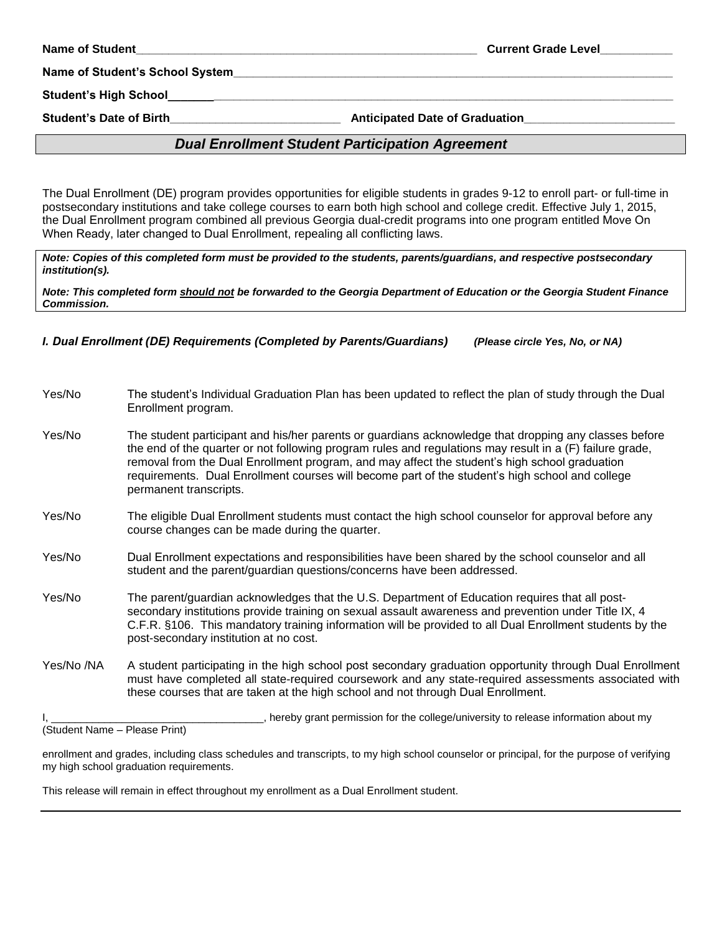| <b>Name of Student</b> |  |
|------------------------|--|
|------------------------|--|

**Current Grade Level** 

Name of Student's School System

Student's High School

Student's Date of Birth \_\_\_\_\_\_\_\_\_\_\_\_\_\_\_\_\_\_\_\_\_\_\_\_\_\_\_\_\_\_\_\_ Anticipated Date of Graduation\_\_\_

## *Dual Enrollment Student Participation Agreement*

The Dual Enrollment (DE) program provides opportunities for eligible students in grades 9-12 to enroll part- or full-time in postsecondary institutions and take college courses to earn both high school and college credit. Effective July 1, 2015, the Dual Enrollment program combined all previous Georgia dual-credit programs into one program entitled Move On When Ready, later changed to Dual Enrollment, repealing all conflicting laws.

*Note: Copies of this completed form must be provided to the students, parents/guardians, and respective postsecondary institution(s).* 

*Note: This completed form should not be forwarded to the Georgia Department of Education or the Georgia Student Finance Commission.*

*I. Dual Enrollment (DE) Requirements (Completed by Parents/Guardians) (Please circle Yes, No, or NA)*

- Yes/No The student's Individual Graduation Plan has been updated to reflect the plan of study through the Dual Enrollment program.
- Yes/No The student participant and his/her parents or guardians acknowledge that dropping any classes before the end of the quarter or not following program rules and regulations may result in a (F) failure grade, removal from the Dual Enrollment program, and may affect the student's high school graduation requirements. Dual Enrollment courses will become part of the student's high school and college permanent transcripts.
- Yes/No The eligible Dual Enrollment students must contact the high school counselor for approval before any course changes can be made during the quarter.
- Yes/No Dual Enrollment expectations and responsibilities have been shared by the school counselor and all student and the parent/guardian questions/concerns have been addressed.
- Yes/No The parent/guardian acknowledges that the U.S. Department of Education requires that all postsecondary institutions provide training on sexual assault awareness and prevention under Title IX, 4 C.F.R. §106. This mandatory training information will be provided to all Dual Enrollment students by the post-secondary institution at no cost.
- Yes/No /NA A student participating in the high school post secondary graduation opportunity through Dual Enrollment must have completed all state-required coursework and any state-required assessments associated with these courses that are taken at the high school and not through Dual Enrollment.

I, the college/university to release information about my change in the college/university to release information about my

(Student Name – Please Print)

enrollment and grades, including class schedules and transcripts, to my high school counselor or principal, for the purpose of verifying my high school graduation requirements.

This release will remain in effect throughout my enrollment as a Dual Enrollment student.